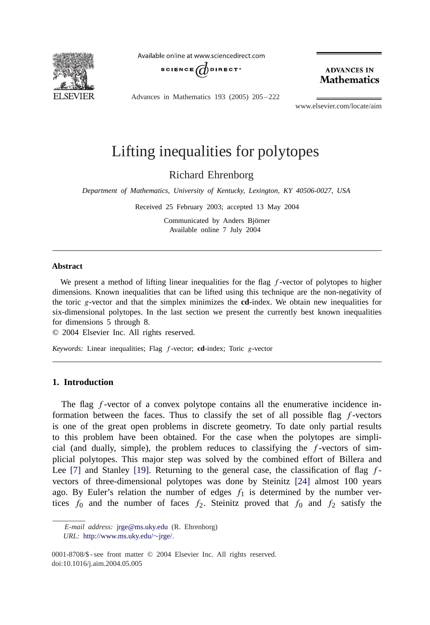

Available online at www.sciencedirect.com



**ADVANCES IN Mathematics** 

Advances in Mathematics 193 (2005) 205 – 222

www.elsevier.com/locate/aim

# Lifting inequalities for polytopes

Richard Ehrenborg

*Department of Mathematics, University of Kentucky, Lexington, KY 40506-0027, USA*

Received 25 February 2003; accepted 13 May 2004

Communicated by Anders Björner Available online 7 July 2004

#### **Abstract**

We present a method of lifting linear inequalities for the flag  $f$ -vector of polytopes to higher dimensions. Known inequalities that can be lifted using this technique are the non-negativity of the toric g-vector and that the simplex minimizes the **cd**-index. We obtain new inequalities for six-dimensional polytopes. In the last section we present the currently best known inequalities for dimensions 5 through 8.

© 2004 Elsevier Inc. All rights reserved.

*Keywords:* Linear inequalities; Flag f -vector; **cd**-index; Toric g-vector

## **1. Introduction**

The flag  $f$ -vector of a convex polytope contains all the enumerative incidence information between the faces. Thus to classify the set of all possible flag  $f$ -vectors is one of the great open problems in discrete geometry. To date only partial results to this problem have been obtained. For the case when the polytopes are simplicial (and dually, simple), the problem reduces to classifying the  $f$ -vectors of simplicial polytopes. This major step was solved by the combined effort of Billera and Lee  $[7]$  and Stanley  $[19]$ . Returning to the general case, the classification of flag  $f$ vectors of three-dimensional polytopes was done by Steinitz [\[24\]](#page-17-0) almost 100 years ago. By Euler's relation the number of edges  $f_1$  is determined by the number vertices  $f_0$  and the number of faces  $f_2$ . Steinitz proved that  $f_0$  and  $f_2$  satisfy the

*E-mail address:* [jrge@ms.uky.edu](mailto:jrge@ms.uky.edu) (R. Ehrenborg) *URL:* [http://www.ms.uky.edu/](http://www.ms.uky.edu/~jrge/)∼jrge/.

<sup>0001-8708/\$ -</sup> see front matter © 2004 Elsevier Inc. All rights reserved. doi:10.1016/j.aim.2004.05.005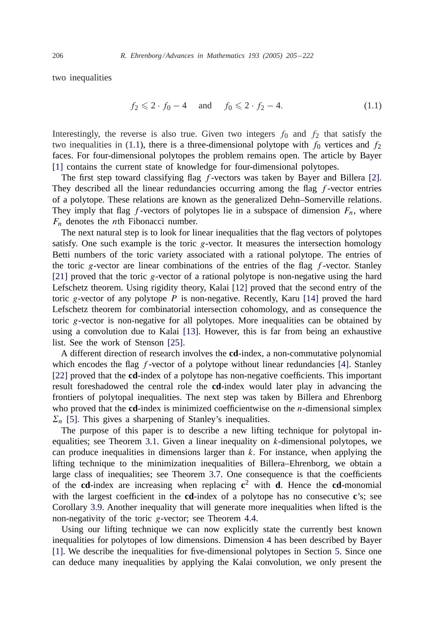two inequalities

$$
f_2 \leq 2 \cdot f_0 - 4
$$
 and  $f_0 \leq 2 \cdot f_2 - 4.$  (1.1)

Interestingly, the reverse is also true. Given two integers  $f_0$  and  $f_2$  that satisfy the two inequalities in (1.1), there is a three-dimensional polytope with  $f_0$  vertices and  $f_2$ faces. For four-dimensional polytopes the problem remains open. The article by Bayer [\[1\]](#page-16-0) contains the current state of knowledge for four-dimensional polytopes.

The first step toward classifying flag  $f$ -vectors was taken by Bayer and Billera [\[2\].](#page-16-0) They described all the linear redundancies occurring among the flag  $f$ -vector entries of a polytope. These relations are known as the generalized Dehn–Somerville relations. They imply that flag f-vectors of polytopes lie in a subspace of dimension  $F_n$ , where  $F_n$  denotes the *n*th Fibonacci number.

The next natural step is to look for linear inequalities that the flag vectors of polytopes satisfy. One such example is the toric  $g$ -vector. It measures the intersection homology Betti numbers of the toric variety associated with a rational polytope. The entries of the toric g-vector are linear combinations of the entries of the flag  $f$ -vector. Stanley [\[21\]](#page-17-0) proved that the toric  $g$ -vector of a rational polytope is non-negative using the hard Lefschetz theorem. Using rigidity theory, Kalai [\[12\]](#page-16-0) proved that the second entry of the toric g-vector of any polytope  $P$  is non-negative. Recently, Karu [\[14\]](#page-16-0) proved the hard Lefschetz theorem for combinatorial intersection cohomology, and as consequence the toric g-vector is non-negative for all polytopes. More inequalities can be obtained by using a convolution due to Kalai [\[13\].](#page-16-0) However, this is far from being an exhaustive list. See the work of Stenson [\[25\].](#page-17-0)

A different direction of research involves the **cd**-index, a non-commutative polynomial which encodes the flag  $f$ -vector of a polytope without linear redundancies [\[4\].](#page-16-0) Stanley [\[22\]](#page-17-0) proved that the **cd**-index of a polytope has non-negative coefficients. This important result foreshadowed the central role the **cd**-index would later play in advancing the frontiers of polytopal inequalities. The next step was taken by Billera and Ehrenborg who proved that the **cd**-index is minimized coefficientwise on the *n*-dimensional simplex  $\Sigma_n$  [\[5\].](#page-16-0) This gives a sharpening of Stanley's inequalities.

The purpose of this paper is to describe a new lifting technique for polytopal inequalities; see Theorem [3.1.](#page-4-0) Given a linear inequality on k-dimensional polytopes, we can produce inequalities in dimensions larger than  $k$ . For instance, when applying the lifting technique to the minimization inequalities of Billera–Ehrenborg, we obtain a large class of inequalities; see Theorem [3.7.](#page-7-0) One consequence is that the coefficients of the **cd**-index are increasing when replacing **c**<sup>2</sup> with **d**. Hence the **cd**-monomial with the largest coefficient in the **cd**-index of a polytope has no consecutive **c**'s; see Corollary [3.9.](#page-7-0) Another inequality that will generate more inequalities when lifted is the non-negativity of the toric g-vector; see Theorem [4.4.](#page-10-0)

Using our lifting technique we can now explicitly state the currently best known inequalities for polytopes of low dimensions. Dimension 4 has been described by Bayer [\[1\].](#page-16-0) We describe the inequalities for five-dimensional polytopes in Section [5.](#page-11-0) Since one can deduce many inequalities by applying the Kalai convolution, we only present the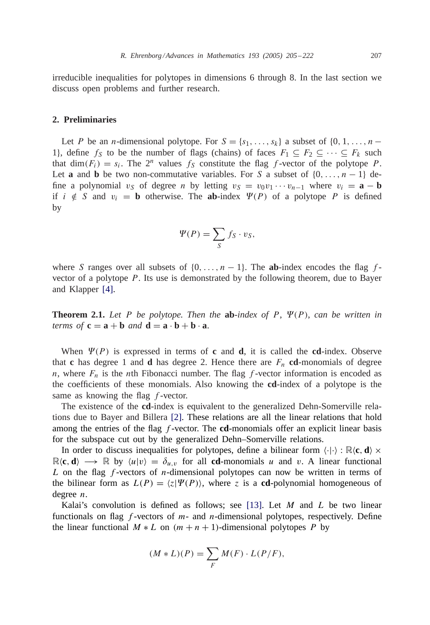irreducible inequalities for polytopes in dimensions 6 through 8. In the last section we discuss open problems and further research.

## **2. Preliminaries**

Let P be an n-dimensional polytope. For  $S = \{s_1, \ldots, s_k\}$  a subset of  $\{0, 1, \ldots, n-1\}$ 1}, define  $f_S$  to be the number of flags (chains) of faces  $F_1 \subseteq F_2 \subseteq \cdots \subseteq F_k$  such that dim( $F_i$ ) =  $s_i$ . The  $2^n$  values  $f_S$  constitute the flag f-vector of the polytope P. Let **a** and **b** be two non-commutative variables. For S a subset of  $\{0, \ldots, n-1\}$  define a polynomial  $v_S$  of degree n by letting  $v_S = v_0v_1 \cdots v_{n-1}$  where  $v_i = \mathbf{a} - \mathbf{b}$ if  $i \notin S$  and  $v_i = \mathbf{b}$  otherwise. The **ab**-index  $\Psi(P)$  of a polytope P is defined by

$$
\Psi(P) = \sum_{S} f_{S} \cdot v_{S},
$$

where S ranges over all subsets of  $\{0, \ldots, n-1\}$ . The **ab**-index encodes the flag fvector of a polytope  $P$ . Its use is demonstrated by the following theorem, due to Bayer and Klapper [\[4\].](#page-16-0)

**Theorem 2.1.** Let P be polytope. Then the  $ab$ -index of P,  $\Psi(P)$ , can be written in *terms of*  $\mathbf{c} = \mathbf{a} + \mathbf{b}$  *and*  $\mathbf{d} = \mathbf{a} \cdot \mathbf{b} + \mathbf{b} \cdot \mathbf{a}$ .

When  $\Psi(P)$  is expressed in terms of **c** and **d**, it is called the **cd**-index. Observe that **c** has degree 1 and **d** has degree 2. Hence there are  $F_n$  **cd**-monomials of degree n, where  $F_n$  is the nth Fibonacci number. The flag f-vector information is encoded as the coefficients of these monomials. Also knowing the **cd**-index of a polytope is the same as knowing the flag f-vector.

The existence of the **cd**-index is equivalent to the generalized Dehn-Somerville relations due to Bayer and Billera [\[2\].](#page-16-0) These relations are all the linear relations that hold among the entries of the flag f -vector. The **cd**-monomials offer an explicit linear basis for the subspace cut out by the generalized Dehn–Somerville relations.

In order to discuss inequalities for polytopes, define a bilinear form  $\langle \cdot | \cdot \rangle : \mathbb{R} \langle \mathbf{c}, \mathbf{d} \rangle \times$  $\mathbb{R}\langle \mathbf{c}, \mathbf{d} \rangle \longrightarrow \mathbb{R}$  by  $\langle u | v \rangle = \delta_{u,v}$  for all **cd**-monomials u and v. A linear functional L on the flag  $f$ -vectors of *n*-dimensional polytopes can now be written in terms of the bilinear form as  $L(P) = \langle z | \Psi(P) \rangle$ , where z is a **cd**-polynomial homogeneous of degree n.

Kalai's convolution is defined as follows; see [\[13\].](#page-16-0) Let  $M$  and  $L$  be two linear functionals on flag  $f$ -vectors of  $m$ - and  $n$ -dimensional polytopes, respectively. Define the linear functional  $M * L$  on  $(m + n + 1)$ -dimensional polytopes P by

$$
(M * L)(P) = \sum_{F} M(F) \cdot L(P/F),
$$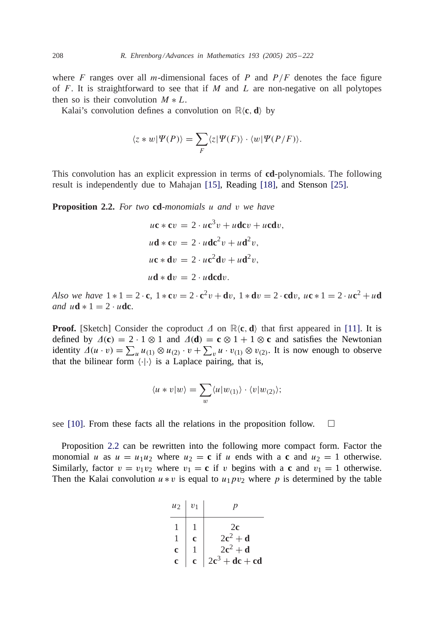where F ranges over all m-dimensional faces of P and  $P/F$  denotes the face figure of  $F$ . It is straightforward to see that if M and L are non-negative on all polytopes then so is their convolution  $M * L$ .

Kalai's convolution defines a convolution on  $\mathbb{R}\langle c, d \rangle$  by

$$
\langle z*w|\Psi(P)\rangle = \sum_F \langle z|\Psi(F)\rangle \cdot \langle w|\Psi(P/F)\rangle.
$$

This convolution has an explicit expression in terms of **cd**-polynomials. The following result is independently due to Mahajan [\[15\],](#page-16-0) Reading [\[18\],](#page-16-0) and Stenson [\[25\].](#page-17-0)

**Proposition 2.2.** *For two* **cd**-*monomials* u *and* v *we have*

$$
uc * cv = 2 \cdot uc^{3}v + udcv + ucdv,
$$
  
\n
$$
ud * cv = 2 \cdot udc^{2}v + ud^{2}v,
$$
  
\n
$$
uc * dv = 2 \cdot uc^{2}dv + ud^{2}v,
$$
  
\n
$$
ud * dv = 2 \cdot udcdv.
$$

*Also we have*  $1 * 1 = 2 \cdot c$ ,  $1 * cv = 2 \cdot c^2 v + dv$ ,  $1 * dv = 2 \cdot c dv$ ,  $uc * 1 = 2 \cdot uc^2 + ud$ *and*  $u \mathbf{d} * 1 = 2 \cdot u \mathbf{d}$ **c**.

**Proof.** [Sketch] Consider the coproduct  $\Delta$  on  $\mathbb{R}\langle \mathbf{c}, \mathbf{d} \rangle$  that first appeared in [\[11\].](#page-16-0) It is defined by  $\Delta(c) = 2 \cdot 1 \otimes 1$  and  $\Delta(d) = c \otimes 1 + 1 \otimes c$  and satisfies the Newtonian identity  $\Delta(u \cdot v) = \sum_u u_{(1)} \otimes u_{(2)} \cdot v + \sum_v u \cdot v_{(1)} \otimes v_{(2)}$ . It is now enough to observe that the bilinear form  $\langle \cdot | \cdot \rangle$  is a Laplace pairing, that is,

$$
\langle u * v | w \rangle = \sum_{w} \langle u | w_{(1)} \rangle \cdot \langle v | w_{(2)} \rangle;
$$

see [\[10\].](#page-16-0) From these facts all the relations in the proposition follow.  $\Box$ 

Proposition 2.2 can be rewritten into the following more compact form. Factor the monomial u as  $u = u_1u_2$  where  $u_2 = c$  if u ends with a c and  $u_2 = 1$  otherwise. Similarly, factor  $v = v_1v_2$  where  $v_1 = c$  if v begins with a c and  $v_1 = 1$  otherwise. Then the Kalai convolution  $u * v$  is equal to  $u_1pv_2$  where p is determined by the table

| $u_2$       | $v_1$        |                  |
|-------------|--------------|------------------|
|             |              | 2c               |
|             | Ć            | $2c^2 + d$       |
| $\mathbf c$ |              | $2c^2 + d$       |
| c           | $\mathbf{c}$ | $2c^3 + dc + cd$ |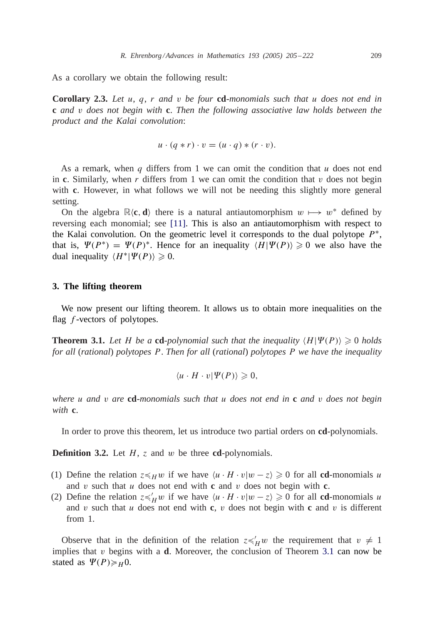<span id="page-4-0"></span>As a corollary we obtain the following result:

**Corollary 2.3.** *Let* u, q, r *and* v *be four* **cd**-*monomials such that* u *does not end in* **c** *and* v *does not begin with* **c**. *Then the following associative law holds between the product and the Kalai convolution*:

$$
u \cdot (q * r) \cdot v = (u \cdot q) * (r \cdot v).
$$

As a remark, when q differs from 1 we can omit the condition that  $u$  does not end in **c**. Similarly, when r differs from 1 we can omit the condition that v does not begin with **c**. However, in what follows we will not be needing this slightly more general setting.

On the algebra  $\mathbb{R}\langle c, d \rangle$  there is a natural antiautomorphism  $w \mapsto w^*$  defined by reversing each monomial; see [\[11\].](#page-16-0) This is also an antiautomorphism with respect to the Kalai convolution. On the geometric level it corresponds to the dual polytope  $P^*$ , that is,  $\Psi(P^*) = \Psi(P)^*$ . Hence for an inequality  $\langle H | \Psi(P) \rangle \geq 0$  we also have the dual inequality  $\langle H^* | \Psi(P) \rangle \geq 0$ .

### **3. The lifting theorem**

We now present our lifting theorem. It allows us to obtain more inequalities on the flag  $f$ -vectors of polytopes.

**Theorem 3.1.** Let H be a cd-polynomial such that the inequality  $\langle H | \Psi(P) \rangle \geq 0$  holds *for all* (*rational*) *polytopes* P. *Then for all* (*rational*) *polytopes* P *we have the inequality*

$$
\langle u \cdot H \cdot v | \Psi(P) \rangle \geq 0,
$$

*where* u *and* v *are* **cd**-*monomials such that* u *does not end in* **c** *and* v *does not begin with* **c**.

In order to prove this theorem, let us introduce two partial orders on **cd**-polynomials.

**Definition 3.2.** Let H, z and w be three **cd**-polynomials.

- (1) Define the relation  $z \leq_H w$  if we have  $\langle u \cdot H \cdot v | w z \rangle \geq 0$  for all **cd**-monomials u and  $v$  such that  $u$  does not end with **c** and  $v$  does not begin with **c**.
- (2) Define the relation  $z \preccurlyeq_H' w$  if we have  $\langle u \cdot H \cdot v | w z \rangle \ge 0$  for all **cd**-monomials u and v such that u does not end with **c**, v does not begin with **c** and v is different from 1.

Observe that in the definition of the relation  $z \preccurlyeq_H w$  the requirement that  $v \neq 1$ implies that v begins with a **d**. Moreover, the conclusion of Theorem 3.1 can now be stated as  $\Psi(P) \geq H_0$ .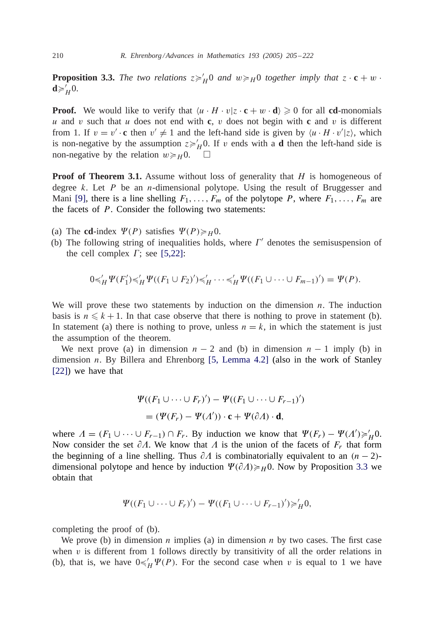**Proposition 3.3.** The two relations  $z \geq H_0$  and  $w \geq H_0$  together imply that  $z \cdot c + w \cdot d$  $\mathbf{d} \geqslant_H^{\mathcal{L}} 0.$ 

**Proof.** We would like to verify that  $\langle u \cdot H \cdot v | z \cdot \mathbf{c} + w \cdot \mathbf{d} \rangle \geq 0$  for all **cd**-monomials u and v such that u does not end with **c**, v does not begin with **c** and v is different from 1. If  $v = v' \cdot c$  then  $v' \neq 1$  and the left-hand side is given by  $\langle u \cdot H \cdot v' | z \rangle$ , which is non-negative by the assumption  $z \geq h/10$ . If v ends with a **d** then the left-hand side is non-negative by the relation  $w \geq H_0$ .  $\Box$ 

**Proof of Theorem 3.1.** Assume without loss of generality that H is homogeneous of degree  $k$ . Let  $P$  be an *n*-dimensional polytope. Using the result of Bruggesser and Mani [\[9\],](#page-16-0) there is a line shelling  $F_1, \ldots, F_m$  of the polytope P, where  $F_1, \ldots, F_m$  are the facets of  $P$ . Consider the following two statements:

- (a) The **cd**-index  $\Psi(P)$  satisfies  $\Psi(P) \geq H_0$ .
- (b) The following string of inequalities holds, where  $\Gamma'$  denotes the semisuspension of the cell complex  $\Gamma$ ; see [5,22]:

$$
0 \preccurlyeq'_H \Psi(F'_1) \preccurlyeq'_H \Psi((F_1 \cup F_2)' \preccurlyeq'_H \cdots \preccurlyeq'_H \Psi((F_1 \cup \cdots \cup F_{m-1})') = \Psi(P).
$$

We will prove these two statements by induction on the dimension  $n$ . The induction basis is  $n \leq k + 1$ . In that case observe that there is nothing to prove in statement (b). In statement (a) there is nothing to prove, unless  $n = k$ , in which the statement is just the assumption of the theorem.

We next prove (a) in dimension  $n - 2$  and (b) in dimension  $n - 1$  imply (b) in dimension n. By Billera and Ehrenborg [\[5, Lemma 4.2\]](#page-16-0) (also in the work of Stanley [\[22\]\)](#page-17-0) we have that

$$
\Psi((F_1 \cup \dots \cup F_r)') - \Psi((F_1 \cup \dots \cup F_{r-1})')
$$
  
= (\Psi(F\_r) - \Psi(\Lambda')) \cdot \mathbf{c} + \Psi(\partial \Lambda) \cdot \mathbf{d},

where  $\Lambda = (F_1 \cup \cdots \cup F_{r-1}) \cap F_r$ . By induction we know that  $\Psi(F_r) - \Psi(\Lambda') \geq \frac{1}{H} 0$ . Now consider the set  $\partial \Lambda$ . We know that  $\Lambda$  is the union of the facets of  $F_r$  that form the beginning of a line shelling. Thus  $\partial\Lambda$  is combinatorially equivalent to an  $(n-2)$ dimensional polytope and hence by induction  $\Psi(\partial A) \geq H_0$ . Now by Proposition [3.3](#page-4-0) we obtain that

$$
\Psi((F_1 \cup \cdots \cup F_r)') - \Psi((F_1 \cup \cdots \cup F_{r-1})') \geq H_1
$$

completing the proof of (b).

We prove (b) in dimension *n* implies (a) in dimension *n* by two cases. The first case when  $\nu$  is different from 1 follows directly by transitivity of all the order relations in (b), that is, we have  $0 \leq H \vee P$ . For the second case when v is equal to 1 we have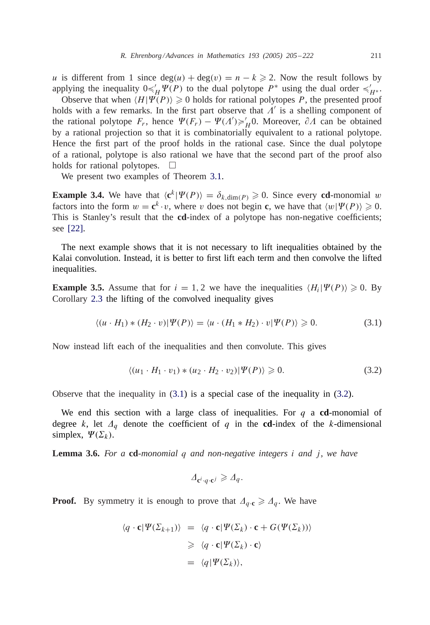<span id="page-6-0"></span>u is different from 1 since  $deg(u) + deg(v) = n - k \ge 2$ . Now the result follows by applying the inequality  $0 \leq H \Psi(P)$  to the dual polytope  $P^*$  using the dual order  $\leq H^*$ .

Observe that when  $\langle H | \Psi(P) \rangle \ge 0$  holds for rational polytopes P, the presented proof holds with a few remarks. In the first part observe that  $\Lambda'$  is a shelling component of the rational polytope  $F_r$ , hence  $\Psi(F_r) - \Psi(A') \geq H_1/2$ . Moreover,  $\partial A$  can be obtained by a rational projection so that it is combinatorially equivalent to a rational polytope. Hence the first part of the proof holds in the rational case. Since the dual polytope of a rational, polytope is also rational we have that the second part of the proof also holds for rational polytopes.  $\Box$ 

We present two examples of Theorem [3.1.](#page-4-0)

**Example 3.4.** We have that  $\langle \mathbf{c}^k | \Psi(P) \rangle = \delta_{k,\dim(P)} \geq 0$ . Since every **cd**-monomial w factors into the form  $w = \mathbf{c}^k \cdot v$ , where v does not begin **c**, we have that  $\langle w | \Psi(P) \rangle \geq 0$ . This is Stanley's result that the **cd**-index of a polytope has non-negative coefficients; see [\[22\].](#page-17-0)

The next example shows that it is not necessary to lift inequalities obtained by the Kalai convolution. Instead, it is better to first lift each term and then convolve the lifted inequalities.

**Example 3.5.** Assume that for  $i = 1, 2$  we have the inequalities  $\langle H_i | \Psi(P) \rangle \geq 0$ . By Corollary [2.3](#page-4-0) the lifting of the convolved inequality gives

$$
\langle (u \cdot H_1) * (H_2 \cdot v) | \Psi(P) \rangle = \langle u \cdot (H_1 * H_2) \cdot v | \Psi(P) \rangle \ge 0.
$$
 (3.1)

Now instead lift each of the inequalities and then convolute. This gives

$$
\langle (u_1 \cdot H_1 \cdot v_1) * (u_2 \cdot H_2 \cdot v_2) | \Psi(P) \rangle \geq 0.
$$
 (3.2)

Observe that the inequality in  $(3.1)$  is a special case of the inequality in  $(3.2)$ .

We end this section with a large class of inequalities. For q a **cd**-monomial of degree k, let  $\Delta_q$  denote the coefficient of q in the **cd**-index of the k-dimensional simplex,  $\Psi(\Sigma_k)$ .

**Lemma 3.6.** For a **cd**-monomial q and non-negative integers i and j, we have

$$
\Delta_{\mathbf{c}^i \cdot q \cdot \mathbf{c}^j} \geqslant \Delta_q.
$$

**Proof.** By symmetry it is enough to prove that  $\Delta_{q\cdot c} \geq \Delta_q$ . We have

$$
\langle q \cdot \mathbf{c} | \Psi(\Sigma_{k+1}) \rangle = \langle q \cdot \mathbf{c} | \Psi(\Sigma_k) \cdot \mathbf{c} + G(\Psi(\Sigma_k)) \rangle
$$
  
\n
$$
\geq \langle q \cdot \mathbf{c} | \Psi(\Sigma_k) \cdot \mathbf{c} \rangle
$$
  
\n
$$
= \langle q | \Psi(\Sigma_k) \rangle,
$$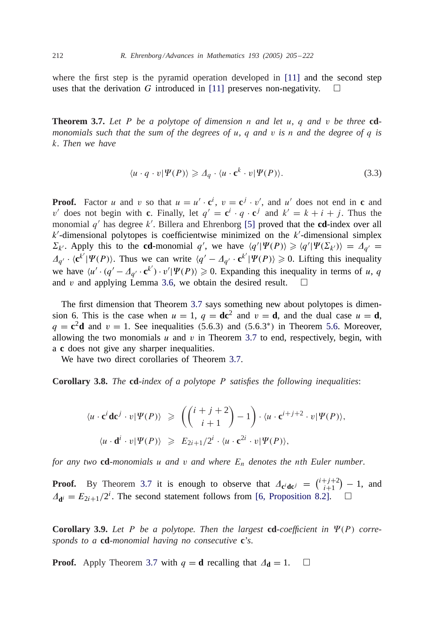<span id="page-7-0"></span>where the first step is the pyramid operation developed in [\[11\]](#page-16-0) and the second step uses that the derivation G introduced in [\[11\]](#page-16-0) preserves non-negativity.  $\square$ 

**Theorem 3.7.** *Let* P *be a polytope of dimension* n *and let* u, q *and* v *be three* **cd***monomials such that the sum of the degrees of* u, q *and* v *is* n *and the degree of* q *is* k. *Then we have*

$$
\langle u \cdot q \cdot v | \Psi(P) \rangle \geq \Delta_q \cdot \langle u \cdot \mathbf{c}^k \cdot v | \Psi(P) \rangle.
$$
 (3.3)

**Proof.** Factor u and v so that  $u = u' \cdot \mathbf{c}^i$ ,  $v = \mathbf{c}^j \cdot v'$ , and u' does not end in c and v' does not begin with **c**. Finally, let  $q' = \mathbf{c}^i \cdot q \cdot \mathbf{c}^j$  and  $k' = k + i + j$ . Thus the monomial  $q'$  has degree  $k'$ . Billera and Ehrenborg [\[5\]](#page-16-0) proved that the **cd**-index over all  $k'$ -dimensional polytopes is coefficientwise minimized on the  $k'$ -dimensional simplex  $\Sigma_{k'}$ . Apply this to the **cd**-monomial q', we have  $\langle q' | \Psi(P) \rangle \geq \langle q' | \Psi(\Sigma_{k'}) \rangle = \Delta_{q'}$  $\Delta_{q'} \cdot \langle \mathbf{c}^{k'} | \Psi(P) \rangle$ . Thus we can write  $\langle q' - \Delta_{q'} \cdot \mathbf{c}^{k'} | \Psi(P) \rangle \geq 0$ . Lifting this inequality we have  $\langle u' \cdot (q' - A_{q'} \cdot \mathbf{c}^{k'}) \cdot v' | \Psi(P) \rangle \geq 0$ . Expanding this inequality in terms of u, q and v and applying Lemma [3.6,](#page-6-0) we obtain the desired result.  $\Box$ 

The first dimension that Theorem 3.7 says something new about polytopes is dimension 6. This is the case when  $u = 1$ ,  $q = dc^2$  and  $v = d$ , and the dual case  $u = d$ ,  $q = \mathbf{c}^2 \mathbf{d}$  and  $v = 1$ . See inequalities ([5.6.](#page-12-0)3) and (5.6.3<sup>\*</sup>) in Theorem 5.6. Moreover, allowing the two monomials  $u$  and  $v$  in Theorem 3.7 to end, respectively, begin, with a **c** does not give any sharper inequalities.

We have two direct corollaries of Theorem 3.7.

**Corollary 3.8.** *The* **cd**-*index of a polytope* P *satisfies the following inequalities*:

$$
\langle u \cdot \mathbf{c}^i \mathbf{d} \mathbf{c}^j \cdot v | \Psi(P) \rangle \geq \left( \binom{i+j+2}{i+1} - 1 \right) \cdot \langle u \cdot \mathbf{c}^{i+j+2} \cdot v | \Psi(P) \rangle,
$$
  

$$
\langle u \cdot \mathbf{d}^i \cdot v | \Psi(P) \rangle \geq E_{2i+1}/2^i \cdot \langle u \cdot \mathbf{c}^{2i} \cdot v | \Psi(P) \rangle,
$$

*for any two* **cd**-*monomials* u and v and where  $E_n$  denotes the nth Euler number.

**Proof.** By Theorem 3.7 it is enough to observe that  $A_{\mathbf{c}^i \mathbf{d} \mathbf{c}^j} = \begin{pmatrix} i+j+2 \\ i+1 \end{pmatrix} - 1$ , and  $\Delta_{\mathbf{d}i} = E_{2i+1}/2^i$ . The second statement follows from [\[6, Proposition 8.2\].](#page-16-0)  $\Box$ 

**Corollary 3.9.** Let P be a polytope. Then the largest **cd**-coefficient in  $\Psi(P)$  corre*sponds to a* **cd**-*monomial having no consecutive* **c**'*s*.

**Proof.** Apply Theorem 3.7 with  $q = d$  recalling that  $\Delta_d = 1$ .  $\Box$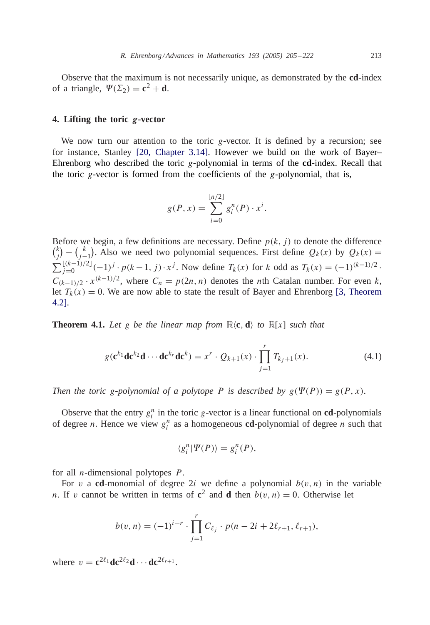Observe that the maximum is not necessarily unique, as demonstrated by the **cd**-index of a triangle,  $\Psi(\Sigma_2) = \mathbf{c}^2 + \mathbf{d}$ .

# **4. Lifting the toric** *g***-vector**

We now turn our attention to the toric g-vector. It is defined by a recursion; see for instance, Stanley [\[20, Chapter 3.14\].](#page-17-0) However we build on the work of Bayer– Ehrenborg who described the toric g-polynomial in terms of the **cd**-index. Recall that the toric  $g$ -vector is formed from the coefficients of the  $g$ -polynomial, that is,

$$
g(P, x) = \sum_{i=0}^{\lfloor n/2 \rfloor} g_i^n(P) \cdot x^i.
$$

Before we begin, a few definitions are necessary. Define  $p(k, i)$  to denote the difference  $\binom{k}{j} - \binom{k}{j-1}$ . Also we need two polynomial sequences. First define  $Q_k(x)$  by  $Q_k(x) =$  $\sum_{j=0}^{\lfloor (k-1)/2 \rfloor} (-1)^j \cdot p(k-1, j) \cdot x^j$ . Now define  $T_k(x)$  for k odd as  $T_k(x) = (-1)^{(k-1)/2}$ .  $C_{(k-1)/2} \cdot x^{(k-1)/2}$ , where  $C_n = p(2n, n)$  denotes the *n*th Catalan number. For even k, let  $T_k(x) = 0$  $T_k(x) = 0$  $T_k(x) = 0$ . We are now able to state the result of Bayer and Ehrenborg [3, Theorem 4.2].

**Theorem 4.1.** Let g be the linear map from  $\mathbb{R}\langle \mathbf{c}, \mathbf{d} \rangle$  to  $\mathbb{R}[x]$  such that

$$
g(\mathbf{c}^{k_1}\mathbf{d}\mathbf{c}^{k_2}\mathbf{d}\cdots\mathbf{d}\mathbf{c}^{k_r}\mathbf{d}\mathbf{c}^k) = x^r \cdot Q_{k+1}(x) \cdot \prod_{j=1}^r T_{k_j+1}(x).
$$
 (4.1)

*Then the toric g-polynomial of a polytope P is described by*  $g(\Psi(P)) = g(P, x)$ *.* 

Observe that the entry  $g_i^n$  in the toric g-vector is a linear functional on **cd**-polynomials of degree *n*. Hence we view  $g_i^n$  as a homogeneous **cd**-polynomial of degree *n* such that

$$
\langle g_i^n | \Psi(P) \rangle = g_i^n(P),
$$

for all *n*-dimensional polytopes  $P$ .

For v a **cd**-monomial of degree 2*i* we define a polynomial  $b(v, n)$  in the variable n. If v cannot be written in terms of  $c^2$  and **d** then  $b(v, n) = 0$ . Otherwise let

$$
b(v, n) = (-1)^{i-r} \cdot \prod_{j=1}^{r} C_{\ell_j} \cdot p(n - 2i + 2\ell_{r+1}, \ell_{r+1}),
$$

where  $v = \mathbf{c}^{2\ell_1} \mathbf{d} \mathbf{c}^{2\ell_2} \mathbf{d} \cdots \mathbf{d} \mathbf{c}^{2\ell_{r+1}}$ .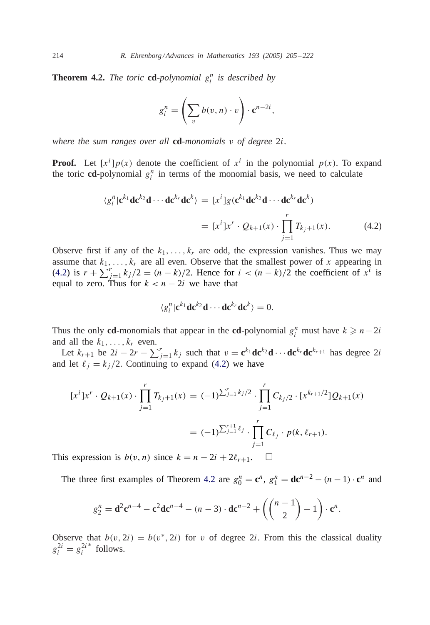**Theorem 4.2.** *The toric* **cd**-*polynomial*  $g_i^n$  *is described by* 

$$
g_i^n = \left(\sum_v b(v, n) \cdot v\right) \cdot \mathbf{c}^{n-2i},
$$

*where the sum ranges over all* **cd**-*monomials* v *of degree* 2i.

**Proof.** Let  $[x^i]p(x)$  denote the coefficient of  $x^i$  in the polynomial  $p(x)$ . To expand the toric **cd**-polynomial  $g_i^n$  in terms of the monomial basis, we need to calculate

$$
\langle g_i^n | \mathbf{c}^{k_1} \mathbf{d} \mathbf{c}^{k_2} \mathbf{d} \cdots \mathbf{d} \mathbf{c}^{k_r} \mathbf{d} \mathbf{c}^k \rangle = [x^i] g(\mathbf{c}^{k_1} \mathbf{d} \mathbf{c}^{k_2} \mathbf{d} \cdots \mathbf{d} \mathbf{c}^{k_r} \mathbf{d} \mathbf{c}^k)
$$
  
=  $[x^i] x^r \cdot Q_{k+1}(x) \cdot \prod_{j=1}^r T_{k_j+1}(x).$  (4.2)

Observe first if any of the  $k_1, \ldots, k_r$  are odd, the expression vanishes. Thus we may assume that  $k_1, \ldots, k_r$  are all even. Observe that the smallest power of x appearing in (4.2) is  $r + \sum_{j=1}^{r} k_j/2 = (n - k)/2$ . Hence for  $i < (n - k)/2$  the coefficient of  $x^{i}$  is equal to zero. Thus for  $k < n - 2i$  we have that

$$
\langle g_i^n | \mathbf{c}^{k_1} \mathbf{d} \mathbf{c}^{k_2} \mathbf{d} \cdots \mathbf{d} \mathbf{c}^{k_r} \mathbf{d} \mathbf{c}^k \rangle = 0.
$$

Thus the only **cd**-monomials that appear in the **cd**-polynomial  $g_i^n$  must have  $k \geq n-2i$ and all the  $k_1, \ldots, k_r$  even.

Let  $k_{r+1}$  be  $2i - 2r - \sum_{j=1}^{r} k_j$  such that  $v = \mathbf{c}^{k_1} \mathbf{d} \mathbf{c}^{k_2} \mathbf{d} \cdots \mathbf{d} \mathbf{c}^{k_r} \mathbf{d} \mathbf{c}^{k_{r+1}}$  has degree  $2i$ and let  $\ell_i = k_i / 2$ . Continuing to expand (4.2) we have

$$
[x^{i}]x^{r} \cdot Q_{k+1}(x) \cdot \prod_{j=1}^{r} T_{k_{j}+1}(x) = (-1)^{\sum_{j=1}^{r} k_{j}/2} \cdot \prod_{j=1}^{r} C_{k_{j}/2} \cdot [x^{k_{r+1}/2}]Q_{k+1}(x)
$$
  

$$
= (-1)^{\sum_{j=1}^{r+1} \ell_{j}} \cdot \prod_{j=1}^{r} C_{\ell_{j}} \cdot p(k, \ell_{r+1}).
$$

This expression is  $b(v, n)$  since  $k = n - 2i + 2\ell_{r+1}$ .  $\Box$ 

The three first examples of Theorem 4.2 are  $g_0^n = \mathbf{c}^n$ ,  $g_1^n = \mathbf{d}\mathbf{c}^{n-2} - (n-1) \cdot \mathbf{c}^n$  and

$$
g_2^n = \mathbf{d}^2 \mathbf{c}^{n-4} - \mathbf{c}^2 \mathbf{d} \mathbf{c}^{n-4} - (n-3) \cdot \mathbf{d} \mathbf{c}^{n-2} + \left( \binom{n-1}{2} - 1 \right) \cdot \mathbf{c}^n.
$$

Observe that  $b(v, 2i) = b(v^*, 2i)$  for v of degree 2*i*. From this the classical duality  $g_i^{2i} = g_i^{2i^*}$  follows.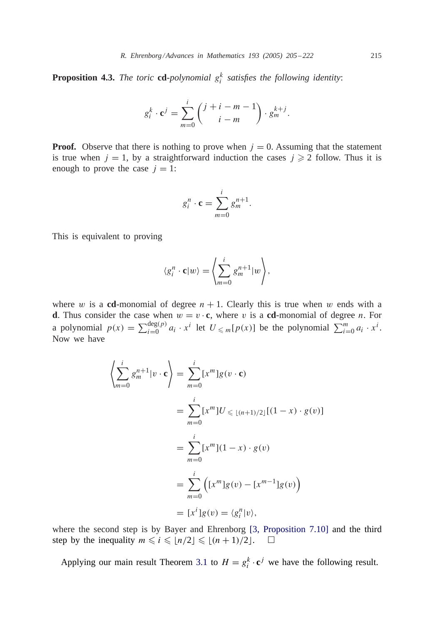<span id="page-10-0"></span>**Proposition 4.3.** *The toric* **cd**-*polynomial*  $g_i^k$  *satisfies the following identity:* 

$$
g_i^k \cdot \mathbf{c}^j = \sum_{m=0}^i \binom{j+i-m-1}{i-m} \cdot g_m^{k+j}.
$$

**Proof.** Observe that there is nothing to prove when  $j = 0$ . Assuming that the statement is true when  $j = 1$ , by a straightforward induction the cases  $j \ge 2$  follow. Thus it is enough to prove the case  $j = 1$ :

$$
g_i^n \cdot \mathbf{c} = \sum_{m=0}^i g_m^{n+1}.
$$

This is equivalent to proving

$$
\langle g_i^n \cdot \mathbf{c} | w \rangle = \left\langle \sum_{m=0}^i g_m^{n+1} | w \right\rangle,
$$

where w is a **cd**-monomial of degree  $n + 1$ . Clearly this is true when w ends with a **d**. Thus consider the case when  $w = v \cdot c$ , where v is a **cd**-monomial of degree n. For a polynomial  $p(x) = \sum_{i=0}^{\deg(p)} a_i \cdot x^i$  let  $U \leq m[p(x)]$  be the polynomial  $\sum_{i=0}^{m} a_i \cdot x^i$ . Now we have

$$
\left\langle \sum_{m=0}^{i} g_{m}^{n+1} | v \cdot \mathbf{c} \right\rangle = \sum_{m=0}^{i} [x^{m}] g(v \cdot \mathbf{c})
$$
  

$$
= \sum_{m=0}^{i} [x^{m}] U \leq (n+1)/2 \left[ (1-x) \cdot g(v) \right]
$$
  

$$
= \sum_{m=0}^{i} [x^{m}] (1-x) \cdot g(v)
$$
  

$$
= \sum_{m=0}^{i} \left[ (x^{m}] g(v) - [x^{m-1}] g(v) \right)
$$
  

$$
= [x^{i}] g(v) = \langle g_{i}^{n} | v \rangle,
$$

where the second step is by Bayer and Ehrenborg [\[3, Proposition 7.10\]](#page-16-0) and the third step by the inequality  $m \leq i \leq \lfloor n/2 \rfloor \leq \lfloor (n + 1)/2 \rfloor$ .  $\Box$ 

Applying our main result Theorem [3.1](#page-4-0) to  $H = g_i^k \cdot \mathbf{c}^j$  we have the following result.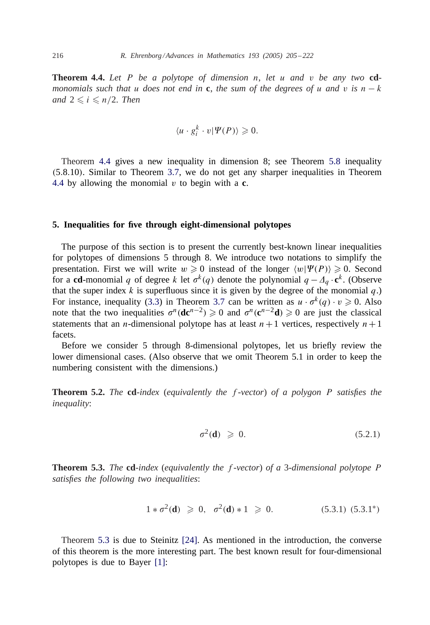<span id="page-11-0"></span>**Theorem 4.4.** *Let* P *be a polytope of dimension* n, *let* u *and* v *be any two* **cd***monomials such that* u *does not end in* **c**, *the sum of the degrees of u and v is*  $n - k$ *and*  $2 \le i \le n/2$ *. Then* 

$$
\langle u \cdot g_i^k \cdot v | \Psi(P) \rangle \geq 0.
$$

Theorem [4.4](#page-10-0) gives a new inequality in dimension 8; see Theorem [5.8](#page-12-0) inequality (5.8.10). Similar to Theorem [3.7,](#page-7-0) we do not get any sharper inequalities in Theorem [4.4](#page-10-0) by allowing the monomial  $v$  to begin with a  $c$ .

### **5. Inequalities for five through eight-dimensional polytopes**

The purpose of this section is to present the currently best-known linear inequalities for polytopes of dimensions 5 through 8. We introduce two notations to simplify the presentation. First we will write  $w \ge 0$  instead of the longer  $\langle w | \Psi(P) \rangle \ge 0$ . Second for a **cd**-monomial q of degree k let  $\sigma^k(q)$  denote the polynomial  $q - A_q \cdot \mathbf{c}^k$ . (Observe that the super index k is superfluous since it is given by the degree of the monomial  $q$ .) For instance, inequality [\(3.3\)](#page-7-0) in Theorem [3.7](#page-7-0) can be written as  $u \cdot \sigma^k(q) \cdot v \ge 0$ . Also note that the two inequalities  $\sigma^n(\mathbf{d}\mathbf{c}^{n-2}) \ge 0$  and  $\sigma^n(\mathbf{c}^{n-2}\mathbf{d}) \ge 0$  are just the classical statements that an *n*-dimensional polytope has at least  $n+1$  vertices, respectively  $n+1$ facets.

Before we consider 5 through 8-dimensional polytopes, let us briefly review the lower dimensional cases. (Also observe that we omit Theorem 5.1 in order to keep the numbering consistent with the dimensions.)

**Theorem 5.2.** *The* **cd**-*index* (*equivalently the* f -*vector*) *of a polygon* P *satisfies the inequality*:

$$
\sigma^2(\mathbf{d}) \geqslant 0. \tag{5.2.1}
$$

**Theorem 5.3.** *The* **cd**-*index* (*equivalently the* f -*vector*) *of a* 3-*dimensional polytope* P *satisfies the following two inequalities*:

$$
1 * \sigma^2(\mathbf{d}) \geq 0, \quad \sigma^2(\mathbf{d}) * 1 \geq 0. \tag{5.3.1} (5.3.1^*)
$$

Theorem 5.3 is due to Steinitz [\[24\].](#page-17-0) As mentioned in the introduction, the converse of this theorem is the more interesting part. The best known result for four-dimensional polytopes is due to Bayer [\[1\]:](#page-16-0)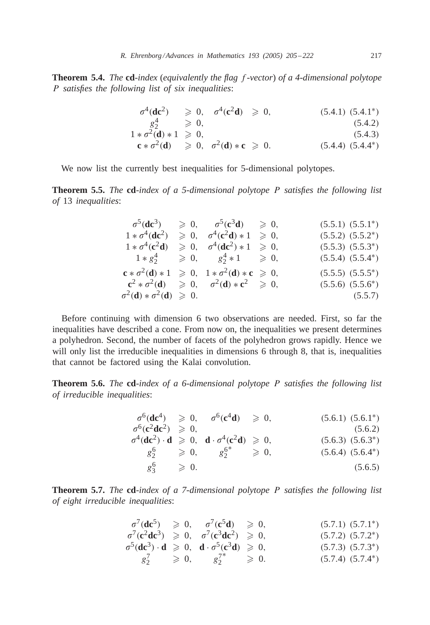<span id="page-12-0"></span>**Theorem 5.4.** *The* **cd**-*index* (*equivalently the flag* f -*vector*) *of a 4-dimensional polytope* P *satisfies the following list of six inequalities*:

$$
\begin{array}{rcl}\n\sigma^4(\mathbf{dc}^2) & \geqslant 0, & \sigma^4(\mathbf{c}^2\mathbf{d}) \geqslant 0, & (5.4.1) \ (5.4.1^*) \\
& g_2^4 & \geqslant 0, & (5.4.2) \\
1 * \sigma^2(\mathbf{d}) * 1 \geqslant 0, & (5.4.3) \\
\mathbf{c} * \sigma^2(\mathbf{d}) \geqslant 0, & \sigma^2(\mathbf{d}) * \mathbf{c} \geqslant 0. & (5.4.4) \ (5.4.4^*)\n\end{array}
$$

We now list the currently best inequalities for 5-dimensional polytopes.

**Theorem 5.5.** *The* **cd**-*index of a 5-dimensional polytope* P *satisfies the following list of* 13 *inequalities*:

|                                                       | $\sigma^5(\text{d}\text{c}^3) \quad \geqslant 0, \quad \sigma^5(\text{c}^3\text{d}) \quad \geqslant 0,$ | $(5.5.1)$ $(5.5.1^*)$ |
|-------------------------------------------------------|---------------------------------------------------------------------------------------------------------|-----------------------|
| $1 * \sigma^4$ (dc <sup>2</sup> )                     | $\geqslant 0, \quad \sigma^4(c^2d) * 1 \geqslant 0,$                                                    | $(5.5.2) (5.5.2^*)$   |
| $1 * \sigma^4(c^2d)$                                  | $\geq 0$ , $\sigma^4$ ( <b>dc</b> <sup>2</sup> ) * 1 $\geq 0$ ,                                         | $(5.5.3)$ $(5.5.3^*)$ |
|                                                       | $1 * g_2^4 \geq 0, \quad g_2^4 * 1 \geq 0,$                                                             | $(5.5.4) (5.5.4^*)$   |
|                                                       | $c * \sigma^2(d) * 1 \geq 0$ , $1 * \sigma^2(d) * c \geq 0$ ,                                           | $(5.5.5)$ $(5.5.5^*)$ |
|                                                       | $c^2 * \sigma^2(d) \geq 0, \quad \sigma^2(d) * c^2 \geq 0,$                                             | $(5.5.6)$ $(5.5.6^*)$ |
| $\sigma^2(\mathbf{d}) * \sigma^2(\mathbf{d}) \geq 0.$ |                                                                                                         | (5.5.7)               |

Before continuing with dimension 6 two observations are needed. First, so far the inequalities have described a cone. From now on, the inequalities we present determines a polyhedron. Second, the number of facets of the polyhedron grows rapidly. Hence we will only list the irreducible inequalities in dimensions 6 through 8, that is, inequalities that cannot be factored using the Kalai convolution.

**Theorem 5.6.** *The* **cd**-*index of a 6-dimensional polytope* P *satisfies the following list of irreducible inequalities*:

|                              | $\sigma^6(\text{dc}^4) \geq 0$ , $\sigma^6(\text{c}^4\text{d}) \geq 0$ ,                                                            | $(5.6.1) (5.6.1^*)$ |
|------------------------------|-------------------------------------------------------------------------------------------------------------------------------------|---------------------|
| $\sigma^6(c^2dc^2) \geq 0$ , |                                                                                                                                     | (5.6.2)             |
|                              | $\sigma^4(\mathbf{d}\mathbf{c}^2) \cdot \mathbf{d} \geqslant 0$ , $\mathbf{d} \cdot \sigma^4(\mathbf{c}^2\mathbf{d}) \geqslant 0$ , | $(5.6.3) (5.6.3^*)$ |
|                              | $g_2^6$ $\geqslant 0,$ $g_2^{6^*}$ $\geqslant 0,$                                                                                   | $(5.6.4) (5.6.4^*)$ |
| $g_3^6$ $\geqslant 0$ .      |                                                                                                                                     | (5.6.5)             |

**Theorem 5.7.** *The* **cd**-*index of a 7-dimensional polytope* P *satisfies the following list of eight irreducible inequalities*:

$$
\begin{array}{llll}\n\sigma^7(\mathbf{d}\mathbf{c}^5) & \geqslant 0, & \sigma^7(\mathbf{c}^5\mathbf{d}) & \geqslant 0, \\
\sigma^7(\mathbf{c}^2\mathbf{d}\mathbf{c}^3) & \geqslant 0, & \sigma^7(\mathbf{c}^3\mathbf{d}\mathbf{c}^2) & \geqslant 0,\n\end{array} \tag{5.7.1} \tag{5.7.1*}
$$

$$
\begin{array}{rcl}\n\sigma^5(\mathbf{d}\mathbf{c}^3) \cdot \mathbf{d} & \geqslant 0, \quad \mathbf{d} \cdot \sigma^5(\mathbf{c}^3 \mathbf{d}) \geqslant 0, \\
g_2^7 & \geqslant 0, \qquad g_2^{7^*} \geqslant 0. \n\end{array}\n\tag{5.7.3} \tag{5.7.3*}
$$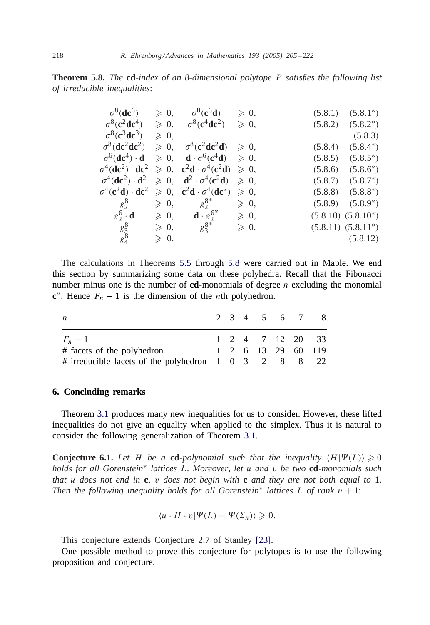<span id="page-13-0"></span>**Theorem 5.8.** *The* **cd**-*index of an 8-dimensional polytope* P *satisfies the following list of irreducible inequalities*:

| $\sigma^8$ (dc <sup>6</sup> )                 | $\geqslant$ 0,  | $\sigma^8(c^6d)$                                                                                                                                            | $\geqslant 0$ , |         | $(5.8.1)$ $(5.8.1^*)$   |
|-----------------------------------------------|-----------------|-------------------------------------------------------------------------------------------------------------------------------------------------------------|-----------------|---------|-------------------------|
| $\sigma^8(c^2dc^4)$                           | $\geqslant$ 0,  | $\sigma^8(c^4dc^2)$                                                                                                                                         | $\geqslant 0$ , |         | $(5.8.2)$ $(5.8.2^*)$   |
| $\sigma^8(c^3dc^3)$                           | $\geqslant$ 0,  |                                                                                                                                                             |                 |         | (5.8.3)                 |
| $\sigma^8$ (dc <sup>2</sup> dc <sup>2</sup> ) |                 | $\geqslant 0$ , $\sigma^8(c^2dc^2d) \geqslant 0$ ,                                                                                                          |                 | (5.8.4) | $(5.8.4^*)$             |
| $\sigma^6(\text{dc}^4) \cdot \text{d}$        |                 | $\geqslant 0$ , <b>d</b> $\sigma^6(c^4d) \geqslant 0$ ,                                                                                                     |                 | (5.8.5) | $(5.8.5^*)$             |
|                                               |                 | $\sigma^4(\mathbf{d}\mathbf{c}^2) \cdot \mathbf{d}\mathbf{c}^2 \geqslant 0$ , $\mathbf{c}^2\mathbf{d} \cdot \sigma^4(\mathbf{c}^2\mathbf{d}) \geqslant 0$ , |                 | (5.8.6) | $(5.8.6^*)$             |
|                                               |                 | $\sigma^4(\mathbf{d}\mathbf{c}^2) \cdot \mathbf{d}^2 \geq 0$ , $\mathbf{d}^2 \cdot \sigma^4(\mathbf{c}^2\mathbf{d}) \geq 0$ ,                               |                 |         | $(5.8.7)$ $(5.8.7^*)$   |
|                                               |                 | $\sigma^4(c^2d) \cdot dc^2 \geqslant 0$ , $c^2d \cdot \sigma^4(dc^2)$                                                                                       | $\geqslant$ 0,  |         | $(5.8.8)$ $(5.8.8^*)$   |
| $g_2^8$                                       | $\geqslant 0,$  | $g_2^{8*}$                                                                                                                                                  | $\geqslant$ 0,  |         | $(5.8.9)$ $(5.8.9^*)$   |
| $g_2^6 \cdot \mathbf{d}$                      | $\geqslant 0$ , | <b>d</b> $\cdot$ $g_2^{6*}$<br>$g_3^{8*}$                                                                                                                   | $\geqslant$ 0,  |         | $(5.8.10)$ $(5.8.10^*)$ |
|                                               | $\geqslant 0$ , |                                                                                                                                                             | $\geqslant 0$ , |         | $(5.8.11)$ $(5.8.11^*)$ |
| $\frac{g_3^8}{g_4^8}$                         | $\geqslant$ 0.  |                                                                                                                                                             |                 |         | (5.8.12)                |
|                                               |                 |                                                                                                                                                             |                 |         |                         |

The calculations in Theorems [5.5](#page-12-0) through [5.8](#page-12-0) were carried out in Maple. We end this section by summarizing some data on these polyhedra. Recall that the Fibonacci number minus one is the number of  $cd$ -monomials of degree n excluding the monomial  $c^n$ . Hence  $F_n - 1$  is the dimension of the *n*th polyhedron.

| n                                                                                                                                                                                                                       |  |  |  | $\begin{array}{ccccccccc} 2 & 3 & 4 & 5 & 6 & 7 & 8 \end{array}$ |
|-------------------------------------------------------------------------------------------------------------------------------------------------------------------------------------------------------------------------|--|--|--|------------------------------------------------------------------|
| $F_n - 1$<br># facets of the polyhedron<br># irreducible facets of the polyhedron<br>$\begin{array}{cccccc}\n1 & 2 & 4 & 7 & 12 & 20 & 33 \\ 1 & 2 & 6 & 13 & 29 & 60 & 119 \\ 1 & 0 & 3 & 2 & 8 & 8 & 22\n\end{array}$ |  |  |  |                                                                  |
|                                                                                                                                                                                                                         |  |  |  |                                                                  |
|                                                                                                                                                                                                                         |  |  |  |                                                                  |

## **6. Concluding remarks**

Theorem [3.1](#page-4-0) produces many new inequalities for us to consider. However, these lifted inequalities do not give an equality when applied to the simplex. Thus it is natural to consider the following generalization of Theorem [3.1.](#page-4-0)

**Conjecture 6.1.** Let H be a cd-polynomial such that the inequality  $\langle H | \Psi(L) \rangle \geq 0$ *holds for all Gorenstein*<sup>∗</sup> *lattices* L. *Moreover*, *let* u *and* v *be two* **cd**-*monomials such that* u *does not end in* **c**, v *does not begin with* **c** *and they are not both equal to* 1. *Then the following inequality holds for all Gorenstein<sup>\*</sup> lattices*  $L$  *of rank*  $n + 1$ :

$$
\langle u \cdot H \cdot v | \Psi(L) - \Psi(\Sigma_n) \rangle \geq 0.
$$

This conjecture extends Conjecture 2.7 of Stanley [\[23\].](#page-17-0)

One possible method to prove this conjecture for polytopes is to use the following proposition and conjecture.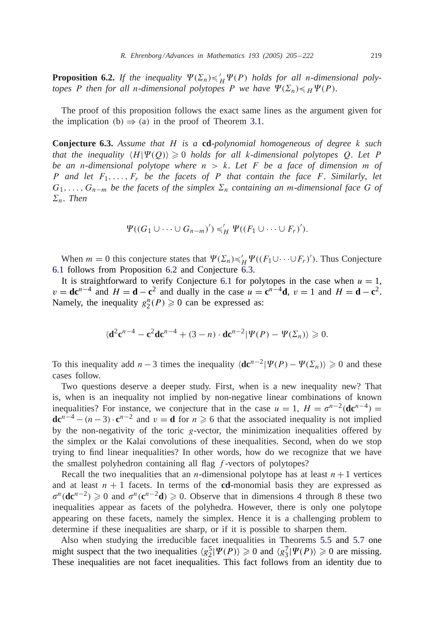**Proposition 6.2.** If the inequality  $\Psi(\Sigma_n) \preccurlyeq_H' \Psi(P)$  holds for all n-dimensional poly*topes* P then for all n-dimensional polytopes P we have  $\Psi(\Sigma_n) \leq H \Psi(P)$ .

The proof of this proposition follows the exact same lines as the argument given for the implication (b)  $\Rightarrow$  (a) in the proof of Theorem [3.1.](#page-4-0)

**Conjecture 6.3.** *Assume that* H *is a* **cd**-*polynomial homogeneous of degree* k *such* that the inequality  $\langle H | \Psi(Q) \rangle \geq 0$  holds for all k-dimensional polytopes Q. Let P *be an* n-*dimensional polytope where* n>k. *Let* F *be a face of dimension* m *of* P *and let* F1,...,Fr *be the facets of* P *that contain the face* F. *Similarly*, *let*  $G_1, \ldots, G_{n-m}$  *be the facets of the simplex*  $\Sigma_n$  *containing an m-dimensional face* G *of*  $\Sigma_n$ . *Then* 

$$
\Psi((G_1 \cup \cdots \cup G_{n-m})') \preccurlyeq'_H \Psi((F_1 \cup \cdots \cup F_r)').
$$

When  $m = 0$  this conjecture states that  $\Psi(\Sigma_n) \preccurlyeq_H' \Psi((F_1 \cup \dots \cup F_r)')$ . Thus Conjecture [6.1](#page-13-0) follows from Proposition [6.2](#page-13-0) and Conjecture 6.3.

It is straightforward to verify Conjecture [6.1](#page-13-0) for polytopes in the case when  $u = 1$ ,  $v = d\mathbf{c}^{n-4}$  and  $H = \mathbf{d} - \mathbf{c}^2$  and dually in the case  $u = \mathbf{c}^{n-4}\mathbf{d}$ ,  $v = 1$  and  $H = \mathbf{d} - \mathbf{c}^2$ . Namely, the inequality  $g_2^n(P) \geq 0$  can be expressed as:

$$
\langle \mathbf{d}^2 \mathbf{c}^{n-4} - \mathbf{c}^2 \mathbf{d} \mathbf{c}^{n-4} + (3-n) \cdot \mathbf{d} \mathbf{c}^{n-2} |\Psi(P) - \Psi(\Sigma_n) \rangle \geq 0.
$$

To this inequality add  $n-3$  times the inequality  $\langle \mathbf{d} \mathbf{c}^{n-2} | \Psi(P) - \Psi(\Sigma_n) \rangle \geq 0$  and these cases follow.

Two questions deserve a deeper study. First, when is a new inequality new? That is, when is an inequality not implied by non-negative linear combinations of known inequalities? For instance, we conjecture that in the case  $u = 1$ ,  $H = \sigma^{n-2}$ (**dc**<sup>n-4</sup>) =  $\mathbf{d}\mathbf{c}^{n-4} - (n-3) \cdot \mathbf{c}^{n-2}$  and  $v = \mathbf{d}$  for  $n \ge 6$  that the associated inequality is not implied by the non-negativity of the toric  $g$ -vector, the minimization inequalities offered by the simplex or the Kalai convolutions of these inequalities. Second, when do we stop trying to find linear inequalities? In other words, how do we recognize that we have the smallest polyhedron containing all flag f -vectors of polytopes?

Recall the two inequalities that an *n*-dimensional polytope has at least  $n+1$  vertices and at least  $n + 1$  facets. In terms of the **cd**-monomial basis they are expressed as  $\sigma^{n}(\mathbf{d}\mathbf{c}^{n-2}) \geq 0$  and  $\sigma^{n}(\mathbf{c}^{n-2}\mathbf{d}) \geq 0$ . Observe that in dimensions 4 through 8 these two inequalities appear as facets of the polyhedra. However, there is only one polytope appearing on these facets, namely the simplex. Hence it is a challenging problem to determine if these inequalities are sharp, or if it is possible to sharpen them.

Also when studying the irreducible facet inequalities in Theorems [5.5](#page-12-0) and [5.7](#page-12-0) one might suspect that the two inequalities  $\langle g_2^5 | \Psi(P) \rangle \geq 0$  and  $\langle g_3^7 | \Psi(P) \rangle \geq 0$  are missing. These inequalities are not facet inequalities. This fact follows from an identity due to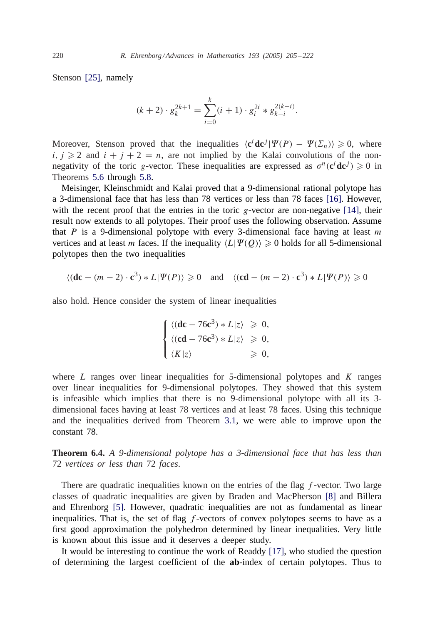Stenson [\[25\],](#page-17-0) namely

$$
(k+2) \cdot g_k^{2k+1} = \sum_{i=0}^k (i+1) \cdot g_i^{2i} * g_{k-i}^{2(k-i)}.
$$

Moreover, Stenson proved that the inequalities  $\langle c^i \, \text{d} c^j | \Psi(P) - \Psi(\Sigma_n) \rangle \geq 0$ , where  $i, j \geqslant 2$  and  $i + j + 2 = n$ , are not implied by the Kalai convolutions of the nonnegativity of the toric g-vector. These inequalities are expressed as  $\sigma^n(c^i \text{d}c^j) \geq 0$  in Theorems [5.6](#page-12-0) through [5.8.](#page-12-0)

Meisinger, Kleinschmidt and Kalai proved that a 9-dimensional rational polytope has a 3-dimensional face that has less than 78 vertices or less than 78 faces [\[16\].](#page-16-0) However, with the recent proof that the entries in the toric g-vector are non-negative  $[14]$ , their result now extends to all polytopes. Their proof uses the following observation. Assume that P is a 9-dimensional polytope with every 3-dimensional face having at least  $m$ vertices and at least *m* faces. If the inequality  $\langle L | \Psi(Q) \rangle \geq 0$  holds for all 5-dimensional polytopes then the two inequalities

$$
\langle (\mathbf{dc} - (m-2) \cdot \mathbf{c}^3) * L | \Psi(P) \rangle \ge 0 \quad \text{and} \quad \langle (\mathbf{cd} - (m-2) \cdot \mathbf{c}^3) * L | \Psi(P) \rangle \ge 0
$$

also hold. Hence consider the system of linear inequalities

$$
\begin{cases} \langle (\mathbf{dc} - 76c^3) * L|z \rangle \geq 0, \\ \langle (cd - 76c^3) * L|z \rangle \geq 0, \\ \langle K|z \rangle \end{cases}
$$

where  $L$  ranges over linear inequalities for 5-dimensional polytopes and  $K$  ranges over linear inequalities for 9-dimensional polytopes. They showed that this system is infeasible which implies that there is no 9-dimensional polytope with all its 3 dimensional faces having at least 78 vertices and at least 78 faces. Using this technique and the inequalities derived from Theorem [3.1,](#page-4-0) we were able to improve upon the constant 78.

**Theorem 6.4.** *A 9-dimensional polytope has a 3-dimensional face that has less than* 72 *vertices or less than* 72 *faces*.

There are quadratic inequalities known on the entries of the flag  $f$ -vector. Two large classes of quadratic inequalities are given by Braden and MacPherson [\[8\]](#page-16-0) and Billera and Ehrenborg [\[5\].](#page-16-0) However, quadratic inequalities are not as fundamental as linear inequalities. That is, the set of flag  $f$ -vectors of convex polytopes seems to have as a first good approximation the polyhedron determined by linear inequalities. Very little is known about this issue and it deserves a deeper study.

It would be interesting to continue the work of Readdy [\[17\],](#page-16-0) who studied the question of determining the largest coefficient of the **ab**-index of certain polytopes. Thus to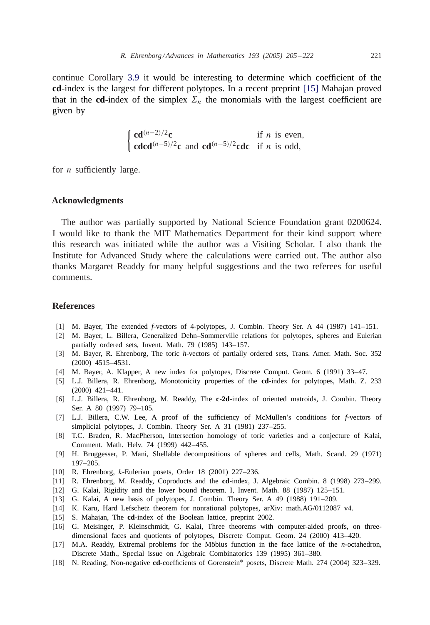<span id="page-16-0"></span>continue Corollary [3.9](#page-7-0) it would be interesting to determine which coefficient of the **cd**-index is the largest for different polytopes. In a recent preprint [15] Mahajan proved that in the **cd**-index of the simplex  $\Sigma_n$  the monomials with the largest coefficient are given by

> $\int \mathbf{c} \mathbf{d}^{(n-2)/2} \mathbf{c}$  if *n* is even, **cdcd**<sup>(n-5)/2</sup>**c** and **cd**<sup>(n-5)/2</sup>**cdc** if n is odd,

for  $n$  sufficiently large.

## **Acknowledgments**

The author was partially supported by National Science Foundation grant 0200624. I would like to thank the MIT Mathematics Department for their kind support where this research was initiated while the author was a Visiting Scholar. I also thank the Institute for Advanced Study where the calculations were carried out. The author also thanks Margaret Readdy for many helpful suggestions and the two referees for useful comments.

#### **References**

- [1] M. Bayer, The extended *f*-vectors of 4-polytopes, J. Combin. Theory Ser. A 44 (1987) 141–151.
- [2] M. Bayer, L. Billera, Generalized Dehn–Sommerville relations for polytopes, spheres and Eulerian partially ordered sets, Invent. Math. 79 (1985) 143–157.
- [3] M. Bayer, R. Ehrenborg, The toric *h*-vectors of partially ordered sets, Trans. Amer. Math. Soc. 352 (2000) 4515–4531.
- [4] M. Bayer, A. Klapper, A new index for polytopes, Discrete Comput. Geom. 6 (1991) 33–47.
- [5] L.J. Billera, R. Ehrenborg, Monotonicity properties of the **cd**-index for polytopes, Math. Z. 233 (2000) 421–441.
- [6] L.J. Billera, R. Ehrenborg, M. Readdy, The **c**-**2d**-index of oriented matroids, J. Combin. Theory Ser. A 80 (1997) 79–105.
- [7] L.J. Billera, C.W. Lee, A proof of the sufficiency of McMullen's conditions for *f*-vectors of simplicial polytopes, J. Combin. Theory Ser. A 31 (1981) 237–255.
- [8] T.C. Braden, R. MacPherson, Intersection homology of toric varieties and a conjecture of Kalai, Comment. Math. Helv. 74 (1999) 442–455.
- [9] H. Bruggesser, P. Mani, Shellable decompositions of spheres and cells, Math. Scand. 29 (1971) 197–205.
- [10] R. Ehrenborg, *k*-Eulerian posets, Order 18 (2001) 227–236.
- [11] R. Ehrenborg, M. Readdy, Coproducts and the **cd**-index, J. Algebraic Combin. 8 (1998) 273–299.
- [12] G. Kalai, Rigidity and the lower bound theorem. I, Invent. Math. 88 (1987) 125–151.
- [13] G. Kalai, A new basis of polytopes, J. Combin. Theory Ser. A 49 (1988) 191–209.
- [14] K. Karu, Hard Lefschetz theorem for nonrational polytopes, arXiv: math.AG/0112087 v4.
- [15] S. Mahajan, The **cd**-index of the Boolean lattice, preprint 2002.
- [16] G. Meisinger, P. Kleinschmidt, G. Kalai, Three theorems with computer-aided proofs, on threedimensional faces and quotients of polytopes, Discrete Comput. Geom. 24 (2000) 413–420.
- [17] M.A. Readdy, Extremal problems for the Möbius function in the face lattice of the *n*-octahedron, Discrete Math., Special issue on Algebraic Combinatorics 139 (1995) 361–380.
- [18] N. Reading, Non-negative **cd**-coefficients of Gorenstein<sup>∗</sup> posets, Discrete Math. 274 (2004) 323–329.